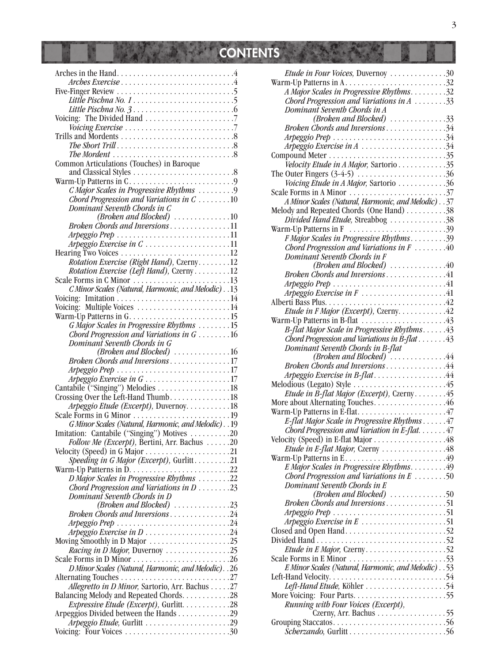# CONTENTS CONTENTS

| The Mordent $\ldots \ldots \ldots \ldots \ldots \ldots \ldots \ldots \ldots 8$ |  |
|--------------------------------------------------------------------------------|--|
| Common Articulations (Touches) in Baroque                                      |  |
|                                                                                |  |
|                                                                                |  |
|                                                                                |  |
| C Major Scales in Progressive Rhythms 9                                        |  |
| Chord Progression and Variations in $C_1, \ldots, C_n$                         |  |
|                                                                                |  |
| Dominant Seventh Chords in C                                                   |  |
| (Broken and Blocked) 10                                                        |  |
| Broken Chords and Inversions11                                                 |  |
|                                                                                |  |
|                                                                                |  |
| Arpeggio Exercise in C11                                                       |  |
|                                                                                |  |
| Rotation Exercise (Right Hand), Czerny12                                       |  |
|                                                                                |  |
| Rotation Exercise (Left Hand), Czerny 12                                       |  |
|                                                                                |  |
| C Minor Scales (Natural, Harmonic, and Melodic) 13                             |  |
|                                                                                |  |
|                                                                                |  |
| Voicing: Multiple Voices 14                                                    |  |
|                                                                                |  |
|                                                                                |  |
| G Major Scales in Progressive Rhythms 15                                       |  |
| Chord Progression and Variations in $G$ 16                                     |  |
| Dominant Seventh Chords in G                                                   |  |
| (Broken and Blocked) 16                                                        |  |
|                                                                                |  |
| Broken Chords and Inversions17                                                 |  |
|                                                                                |  |
| Arpeggio Exercise in G17                                                       |  |
|                                                                                |  |
|                                                                                |  |
|                                                                                |  |
| Arpeggio Etude (Excerpt), Duvernoy. 18                                         |  |
|                                                                                |  |
|                                                                                |  |
| G Minor Scales (Natural, Harmonic, and Melodic). . 19                          |  |
| Imitation: Cantabile ("Singing") Motives 20                                    |  |
|                                                                                |  |
|                                                                                |  |
| Follow Me (Excerpt), Bertini, Arr. Bachus 20                                   |  |
|                                                                                |  |
|                                                                                |  |
|                                                                                |  |
|                                                                                |  |
|                                                                                |  |
| Chord Progression and Variations in $D$ 23                                     |  |
| Dominant Seventh Chords in D                                                   |  |
|                                                                                |  |
| (Broken and Blocked) $\ldots \ldots \ldots \ldots \ldots$ 23                   |  |
| Broken Chords and Inversions24                                                 |  |
| Arpeggio Prep $\ldots \ldots \ldots \ldots \ldots \ldots \ldots \ldots 24$     |  |
|                                                                                |  |
| Arpeggio Exercise in D24                                                       |  |
|                                                                                |  |
| Racing in D Major, Duvernoy 25                                                 |  |
|                                                                                |  |
|                                                                                |  |
| D Minor Scales (Natural, Harmonic, and Melodic). . 26                          |  |
|                                                                                |  |
| Allegretto in D Minor, Sartorio, Arr. Bachus 27                                |  |
|                                                                                |  |
|                                                                                |  |
| <i>Expressive Etude (Excerpt)</i> , Gurlitt. 28                                |  |
|                                                                                |  |
| Arpeggio Etude, Gurlitt 29                                                     |  |
| Voicing: Four Voices 30                                                        |  |

ı

**IN** 

| <i>Etude in Four Voices, Duvernoy 30</i>                                                               |  |
|--------------------------------------------------------------------------------------------------------|--|
|                                                                                                        |  |
| A Major Scales in Progressive Rhythms. 32                                                              |  |
| Chord Progression and Variations in $A$ 33                                                             |  |
|                                                                                                        |  |
| Dominant Seventh Chords in A                                                                           |  |
| $(Broken and Blocked)$ 33                                                                              |  |
| Broken Chords and Inversions34                                                                         |  |
|                                                                                                        |  |
| Arpeggio Exercise in $A$ 34                                                                            |  |
|                                                                                                        |  |
|                                                                                                        |  |
| Velocity Etude in A Major, Sartorio 35                                                                 |  |
| The Outer Fingers $(3-4-5)$ 36                                                                         |  |
| Voicing Etude in A Major, Sartorio 36                                                                  |  |
|                                                                                                        |  |
|                                                                                                        |  |
| A Minor Scales (Natural, Harmonic, and Melodic) 37                                                     |  |
| Melody and Repeated Chords (One Hand) 38                                                               |  |
| Divided Hand Etude, Streabbog 38                                                                       |  |
| Warm-Up Patterns in F $\ldots \ldots \ldots \ldots \ldots \ldots \ldots$                               |  |
|                                                                                                        |  |
| F Major Scales in Progressive Rhythms39                                                                |  |
| Chord Progression and Variations in $F$ 40                                                             |  |
| Dominant Seventh Chords in F                                                                           |  |
| (Broken and Blocked) $\ldots \ldots \ldots \ldots \ldots$                                              |  |
| Broken Chords and Inversions41                                                                         |  |
|                                                                                                        |  |
|                                                                                                        |  |
| Arpeggio Exercise in F41                                                                               |  |
| Alberti Bass Plus                                                                                      |  |
| Etude in F Major (Excerpt), Czerny. 42                                                                 |  |
|                                                                                                        |  |
|                                                                                                        |  |
| B-flat Major Scale in Progressive Rhythms43                                                            |  |
| Chord Progression and Variations in B-flat $\dots \dots 43$                                            |  |
| Dominant Seventh Chords in B-flat                                                                      |  |
|                                                                                                        |  |
| $(Broken and Blocked)$ 44                                                                              |  |
| Broken Chords and Inversions44                                                                         |  |
| Arpeggio Exercise in B-flat44                                                                          |  |
|                                                                                                        |  |
| Etude in B-flat Major (Excerpt), Czerny45                                                              |  |
|                                                                                                        |  |
| More about Alternating Touches46                                                                       |  |
|                                                                                                        |  |
| E-flat Major Scale in Progressive Rhythms 47                                                           |  |
| Chord Progression and Variation in E-flat. $\dots$ . 47                                                |  |
|                                                                                                        |  |
|                                                                                                        |  |
| <i>Etude in E-flat Major</i> , Czerny 48                                                               |  |
|                                                                                                        |  |
| E Major Scales in Progressive Rhythms49                                                                |  |
| Chord Progression and Variations in $E$ 50                                                             |  |
| Dominant Seventh Chords in E                                                                           |  |
|                                                                                                        |  |
| (Broken and Blocked) $\ldots \ldots \ldots \ldots \ldots$                                              |  |
| Broken Chords and Inversions51                                                                         |  |
|                                                                                                        |  |
| Arpeggio Exercise in $E$ 51                                                                            |  |
|                                                                                                        |  |
|                                                                                                        |  |
|                                                                                                        |  |
| Etude in E Major, Czerny52                                                                             |  |
| Scale Forms in E Minor $\dots \dots \dots \dots \dots \dots \dots \dots \dots$                         |  |
| E Minor Scales (Natural, Harmonic, and Melodic) 53                                                     |  |
|                                                                                                        |  |
| Left-Hand Velocity. $\dots \dots \dots \dots \dots \dots \dots \dots \dots \dots \dots \dots \dots 54$ |  |
|                                                                                                        |  |
| Left-Hand Etude, Köhler 54                                                                             |  |
|                                                                                                        |  |
|                                                                                                        |  |
| Running with Four Voices (Excerpt),                                                                    |  |
| Czerny, Arr. Bachus 55                                                                                 |  |
|                                                                                                        |  |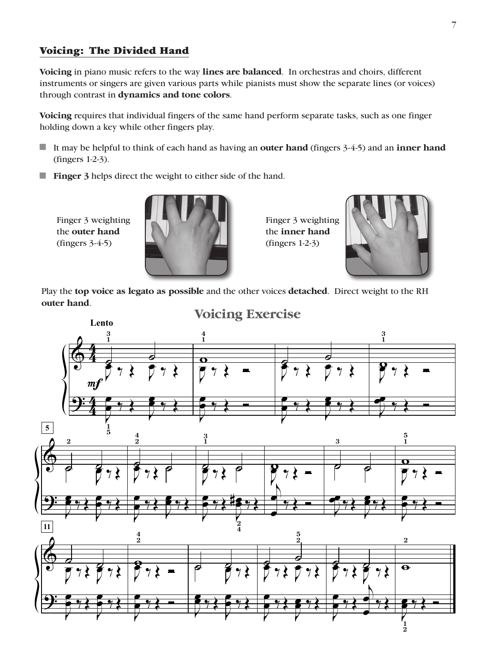#### Voicing: The Divided Hand

**Voicing** in piano music refers to the way **lines are balanced**. In orchestras and choirs, different instruments or singers are given various parts while pianists must show the separate lines (or voices) through contrast in **dynamics and tone colors**.

**Voicing** requires that individual fingers of the same hand perform separate tasks, such as one finger holding down a key while other fingers play.

- If may be helpful to think of each hand as having an **outer hand** (fingers 3-4-5) and an **inner hand** (fingers 1-2-3).
- **Finger 3** helps direct the weight to either side of the hand.

Finger 3 weighting the **outer hand** (fingers 3-4-5)



Finger 3 weighting the **inner hand** (fingers 1-2-3)



Play the **top voice as legato as possible** and the other voices **detached**. Direct weight to the RH **outer hand**.

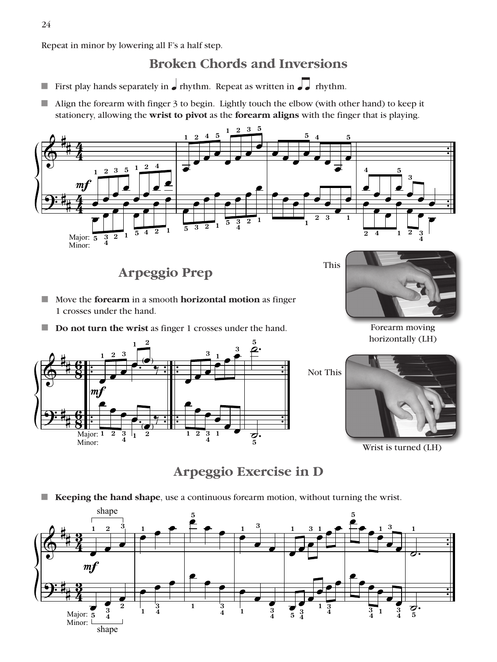Repeat in minor by lowering all F's a half step.

## **Broken Chords and Inversions**

- First play hands separately in  $\bullet$  rhythm. Repeat as written in  $\bullet$ ––– $\bullet$  rhythm.
- $\blacksquare$  Align the forearm with finger 3 to begin. Lightly touch the elbow (with other hand) to keep it stationery, allowing the **wrist to pivot** as the **forearm aligns** with the finger that is playing.



**Arpeggio Prep**

- **E** Move the **forearm** in a smooth **horizontal motion** as finger 1 crosses under the hand.
- **Do not turn the wrist** as finger 1 crosses under the hand.

 $\Phi$ <u>.</u> # # # # **8**<br>8 <u>ፍ</u> **8**<br>8 <u>ፍ</u> . . . . . . :<br>: . . . . . . . :<br>: .  $\overline{\phantom{0}}$ **1**  $\bm{m}$  $\overline{\phantom{0}}$ **2** œ **3** œ **1** œ **2**  $\frac{(\bullet)}{\cdot}$ ∕<br>∟ Major: **1** Minor: œ **2** œ **3 4** œ **1**  $\frac{1}{2}$ **2**  $\qquad \qquad \bullet$  $\begin{array}{|c|c|c|c|}\hline \textbf{e} & \textbf{e} & \textbf{e} & \textbf{e} & \textbf{e} & \textbf{e} & \textbf{e} & \textbf{e} & \textbf{e} & \textbf{e} & \textbf{e} & \textbf{e} & \textbf{e} & \textbf{e} & \textbf{e} & \textbf{e} & \textbf{e} & \textbf{e} & \textbf{e} & \textbf{e} & \textbf{e} & \textbf{e} & \textbf{e} & \textbf{e} & \textbf{e} & \textbf{e} & \textbf{e} & \textbf{e} & \textbf{e} &$ **3**  $\frac{1}{\epsilon}$  $\frac{1}{\bullet}$   $\bullet$   $\bullet$ **3** œ **1** œ **2** œ **3 4** œ **1**  $\overrightarrow{e}$ ˙. **5**  $\vec{\bm{\sigma}}$ **5** Not This

This

Forearm moving horizontally (LH)



Wrist is turned (LH)

**Arpeggio Exercise in D**

**Keeping the hand shape**, use a continuous forearm motion, without turning the wrist.

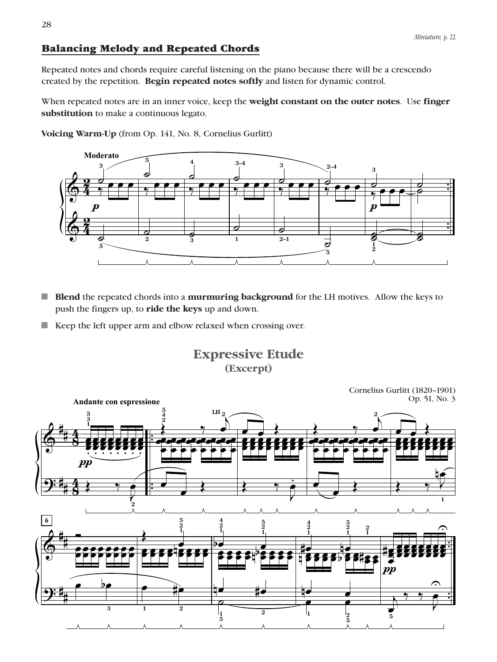### Balancing Melody and Repeated Chords

Repeated notes and chords require careful listening on the piano because there will be a crescendo created by the repetition. **Begin repeated notes softly** and listen for dynamic control.

When repeated notes are in an inner voice, keep the **weight constant on the outer notes**. Use **finger substitution** to make a continuous legato.

**Voicing Warm-Up** (from Op. 141, No. 8, Cornelius Gurlitt)



- **Blend** the repeated chords into a **murmuring background** for the LH motives. Allow the keys to push the fingers up, to **ride the keys** up and down.
- $\blacksquare$  Keep the left upper arm and elbow relaxed when crossing over.

**Expressive Etude (Excerpt)**